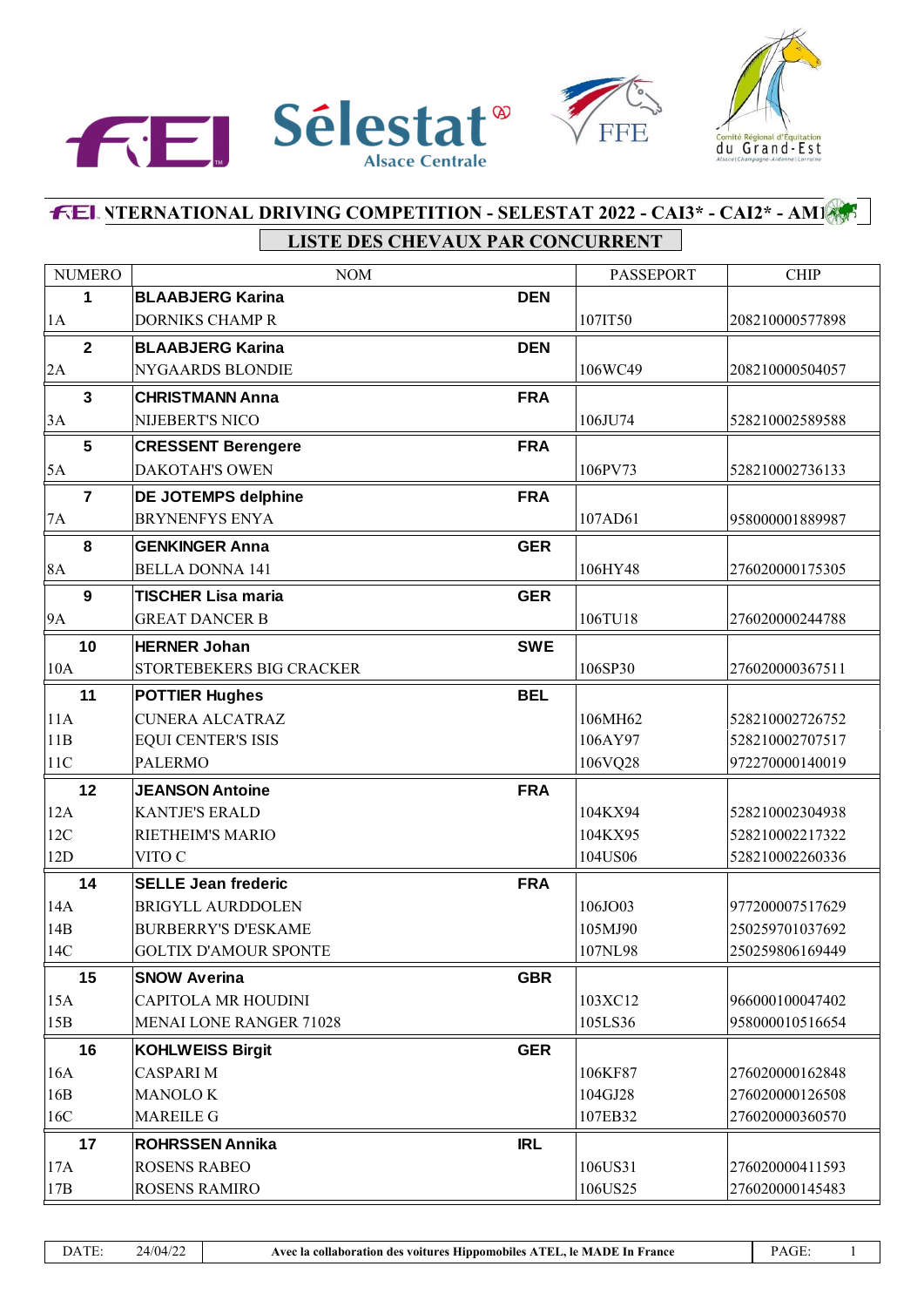



# **FEL NTERNATIONAL DRIVING COMPETITION - SELESTAT 2022 - CAI3\* - CAI2\* - AMI** LISTE DES CHEVAUX PAR CONCURRENT

| <b>NUMERO</b>  | <b>NOM</b>                     |            | <b>PASSEPORT</b> | <b>CHIP</b>     |
|----------------|--------------------------------|------------|------------------|-----------------|
| 1              | <b>BLAABJERG Karina</b>        | <b>DEN</b> |                  |                 |
| 1A             | <b>DORNIKS CHAMP R</b>         |            | 107IT50          | 208210000577898 |
| $\overline{2}$ | <b>BLAABJERG Karina</b>        | <b>DEN</b> |                  |                 |
| 2A             | NYGAARDS BLONDIE               |            | 106WC49          | 208210000504057 |
| $\mathbf{3}$   | <b>CHRISTMANN Anna</b>         | <b>FRA</b> |                  |                 |
| 3A             | NIJEBERT'S NICO                |            | 106JU74          | 528210002589588 |
| 5              | <b>CRESSENT Berengere</b>      | <b>FRA</b> |                  |                 |
| 5A             | DAKOTAH'S OWEN                 |            | 106PV73          | 528210002736133 |
| $\overline{7}$ | <b>DE JOTEMPS delphine</b>     | <b>FRA</b> |                  |                 |
| 7A             | <b>BRYNENFYS ENYA</b>          |            | 107AD61          | 958000001889987 |
| 8              | <b>GENKINGER Anna</b>          | <b>GER</b> |                  |                 |
| 8A             | <b>BELLA DONNA 141</b>         |            | 106HY48          | 276020000175305 |
| 9              | <b>TISCHER Lisa maria</b>      | <b>GER</b> |                  |                 |
| 9A             | <b>GREAT DANCER B</b>          |            | 106TU18          | 276020000244788 |
| 10             | <b>HERNER Johan</b>            | <b>SWE</b> |                  |                 |
| 10A            | STORTEBEKERS BIG CRACKER       |            | 106SP30          | 276020000367511 |
| 11             | <b>POTTIER Hughes</b>          | <b>BEL</b> |                  |                 |
| 11A            | <b>CUNERA ALCATRAZ</b>         |            | 106MH62          | 528210002726752 |
| 11B            | <b>EQUI CENTER'S ISIS</b>      |            | 106AY97          | 528210002707517 |
| 11C            | <b>PALERMO</b>                 |            | 106VQ28          | 972270000140019 |
| 12             | <b>JEANSON Antoine</b>         | <b>FRA</b> |                  |                 |
| 12A            | <b>KANTJE'S ERALD</b>          |            | 104KX94          | 528210002304938 |
| 12C            | RIETHEIM'S MARIO               |            | 104KX95          | 528210002217322 |
| 12D            | VITO C                         |            | 104US06          | 528210002260336 |
| 14             | <b>SELLE Jean frederic</b>     | <b>FRA</b> |                  |                 |
| 14A            | <b>BRIGYLL AURDDOLEN</b>       |            | 106JO03          | 977200007517629 |
| 14B            | <b>BURBERRY'S D'ESKAME</b>     |            | 105MJ90          | 250259701037692 |
| 14C            | <b>GOLTIX D'AMOUR SPONTE</b>   |            | 107NL98          | 250259806169449 |
| 15             | <b>SNOW Averina</b>            | <b>GBR</b> |                  |                 |
| 15A            | CAPITOLA MR HOUDINI            |            | 103XC12          | 966000100047402 |
| 15B            | <b>MENAI LONE RANGER 71028</b> |            | 105LS36          | 958000010516654 |
| 16             | <b>KOHLWEISS Birgit</b>        | <b>GER</b> |                  |                 |
| 16A            | <b>CASPARIM</b>                |            | 106KF87          | 276020000162848 |
| 16B            | <b>MANOLOK</b>                 |            | 104GJ28          | 276020000126508 |
| 16C            | <b>MAREILE G</b>               |            | 107EB32          | 276020000360570 |
| 17             | <b>ROHRSSEN Annika</b>         | <b>IRL</b> |                  |                 |
| 17A            | <b>ROSENS RABEO</b>            |            | 106US31          | 276020000411593 |
| 17B            | ROSENS RAMIRO                  |            | 106US25          | 276020000145483 |

 $\overline{1}$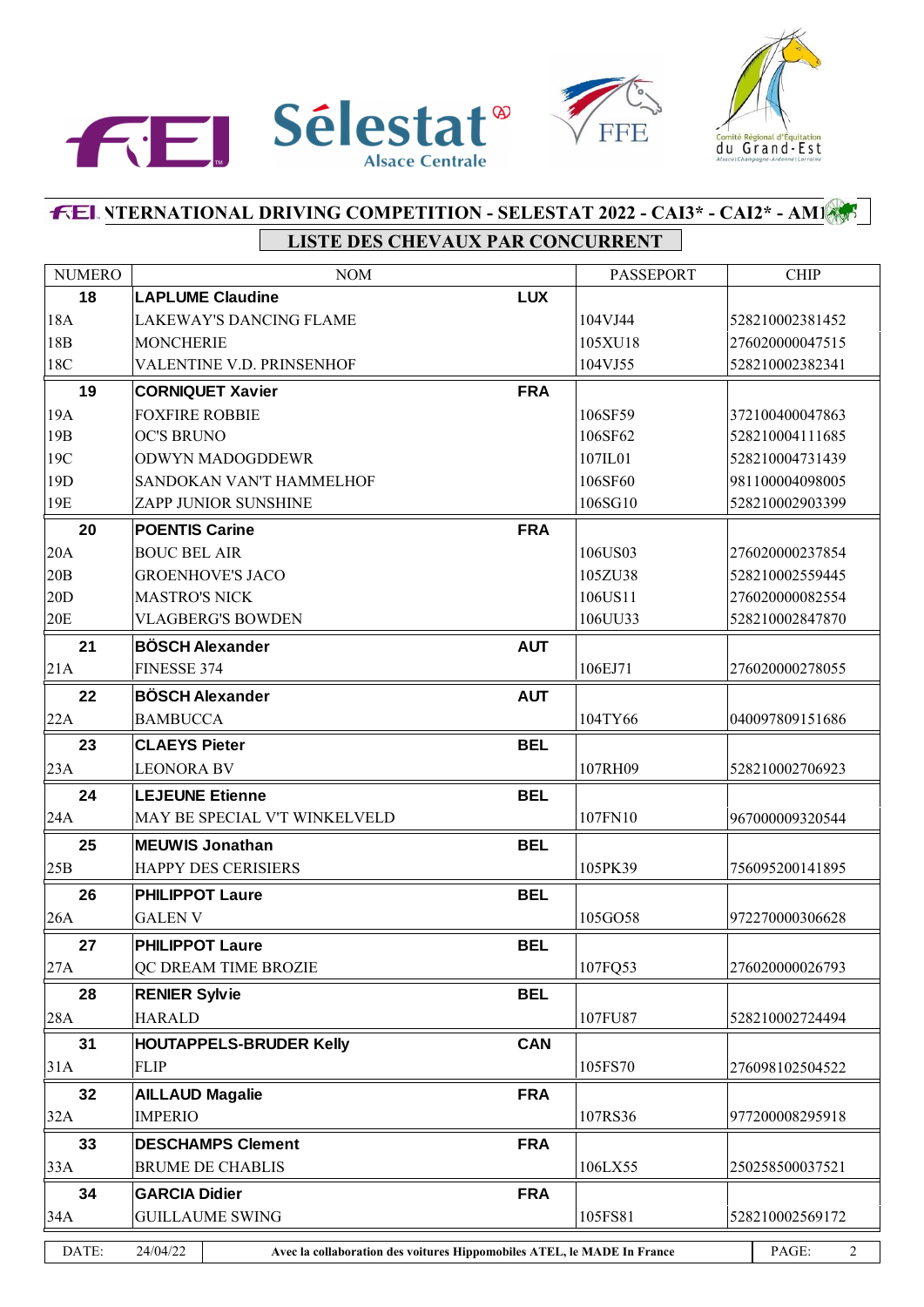



# **INTERNATIONAL DRIVING COMPETITION - SELESTAT 2022 - CAI3\* - CAI2\* - AM1 LISTE DES CHEVAUX PAR CONCURRENT**

| 18<br><b>LUX</b><br><b>LAPLUME Claudine</b><br>18A<br>LAKEWAY'S DANCING FLAME<br>104VJ44<br>528210002381452<br>18B<br>276020000047515<br><b>MONCHERIE</b><br>105XU18<br>18C<br>528210002382341<br>VALENTINE V.D. PRINSENHOF<br>104VJ55<br>19<br><b>FRA</b><br><b>CORNIQUET Xavier</b><br>19A<br><b>FOXFIRE ROBBIE</b><br>106SF59<br>372100400047863<br>19 <sub>B</sub><br><b>OC'S BRUNO</b><br>106SF62<br>528210004111685<br>19C<br>528210004731439<br><b>ODWYN MADOGDDEWR</b><br>107IL01<br>19 <sub>D</sub><br>SANDOKAN VAN'T HAMMELHOF<br>106SF60<br>981100004098005<br>19E<br>106SG10<br><b>ZAPP JUNIOR SUNSHINE</b><br>528210002903399<br>20<br><b>FRA</b><br><b>POENTIS Carine</b><br> 20A<br><b>BOUC BEL AIR</b><br>106US03<br>276020000237854<br> 20B<br><b>GROENHOVE'S JACO</b><br>528210002559445<br>105ZU38<br> 20D<br><b>MASTRO'S NICK</b><br>106US11<br>276020000082554 |                |
|-------------------------------------------------------------------------------------------------------------------------------------------------------------------------------------------------------------------------------------------------------------------------------------------------------------------------------------------------------------------------------------------------------------------------------------------------------------------------------------------------------------------------------------------------------------------------------------------------------------------------------------------------------------------------------------------------------------------------------------------------------------------------------------------------------------------------------------------------------------------------------------|----------------|
|                                                                                                                                                                                                                                                                                                                                                                                                                                                                                                                                                                                                                                                                                                                                                                                                                                                                                     |                |
|                                                                                                                                                                                                                                                                                                                                                                                                                                                                                                                                                                                                                                                                                                                                                                                                                                                                                     |                |
|                                                                                                                                                                                                                                                                                                                                                                                                                                                                                                                                                                                                                                                                                                                                                                                                                                                                                     |                |
|                                                                                                                                                                                                                                                                                                                                                                                                                                                                                                                                                                                                                                                                                                                                                                                                                                                                                     |                |
|                                                                                                                                                                                                                                                                                                                                                                                                                                                                                                                                                                                                                                                                                                                                                                                                                                                                                     |                |
|                                                                                                                                                                                                                                                                                                                                                                                                                                                                                                                                                                                                                                                                                                                                                                                                                                                                                     |                |
|                                                                                                                                                                                                                                                                                                                                                                                                                                                                                                                                                                                                                                                                                                                                                                                                                                                                                     |                |
|                                                                                                                                                                                                                                                                                                                                                                                                                                                                                                                                                                                                                                                                                                                                                                                                                                                                                     |                |
|                                                                                                                                                                                                                                                                                                                                                                                                                                                                                                                                                                                                                                                                                                                                                                                                                                                                                     |                |
|                                                                                                                                                                                                                                                                                                                                                                                                                                                                                                                                                                                                                                                                                                                                                                                                                                                                                     |                |
|                                                                                                                                                                                                                                                                                                                                                                                                                                                                                                                                                                                                                                                                                                                                                                                                                                                                                     |                |
|                                                                                                                                                                                                                                                                                                                                                                                                                                                                                                                                                                                                                                                                                                                                                                                                                                                                                     |                |
|                                                                                                                                                                                                                                                                                                                                                                                                                                                                                                                                                                                                                                                                                                                                                                                                                                                                                     |                |
|                                                                                                                                                                                                                                                                                                                                                                                                                                                                                                                                                                                                                                                                                                                                                                                                                                                                                     |                |
| 20E<br><b>VLAGBERG'S BOWDEN</b><br>106UU33<br>528210002847870                                                                                                                                                                                                                                                                                                                                                                                                                                                                                                                                                                                                                                                                                                                                                                                                                       |                |
| 21<br><b>BÖSCH Alexander</b><br><b>AUT</b>                                                                                                                                                                                                                                                                                                                                                                                                                                                                                                                                                                                                                                                                                                                                                                                                                                          |                |
| 21A<br>106EJ71<br>FINESSE 374<br>276020000278055                                                                                                                                                                                                                                                                                                                                                                                                                                                                                                                                                                                                                                                                                                                                                                                                                                    |                |
| 22<br><b>BÖSCH Alexander</b><br><b>AUT</b>                                                                                                                                                                                                                                                                                                                                                                                                                                                                                                                                                                                                                                                                                                                                                                                                                                          |                |
| 22A<br>104TY66<br>040097809151686<br><b>BAMBUCCA</b>                                                                                                                                                                                                                                                                                                                                                                                                                                                                                                                                                                                                                                                                                                                                                                                                                                |                |
| 23<br><b>BEL</b><br><b>CLAEYS Pieter</b>                                                                                                                                                                                                                                                                                                                                                                                                                                                                                                                                                                                                                                                                                                                                                                                                                                            |                |
| 23A<br>107RH09<br><b>LEONORA BV</b><br>528210002706923                                                                                                                                                                                                                                                                                                                                                                                                                                                                                                                                                                                                                                                                                                                                                                                                                              |                |
| <b>BEL</b><br>24<br><b>LEJEUNE Etienne</b>                                                                                                                                                                                                                                                                                                                                                                                                                                                                                                                                                                                                                                                                                                                                                                                                                                          |                |
| 24A<br>MAY BE SPECIAL V'T WINKELVELD<br>107FN10<br>967000009320544                                                                                                                                                                                                                                                                                                                                                                                                                                                                                                                                                                                                                                                                                                                                                                                                                  |                |
| 25<br><b>BEL</b><br><b>MEUWIS Jonathan</b>                                                                                                                                                                                                                                                                                                                                                                                                                                                                                                                                                                                                                                                                                                                                                                                                                                          |                |
| 25B <br><b>HAPPY DES CERISIERS</b><br>105PK39<br>756095200141895                                                                                                                                                                                                                                                                                                                                                                                                                                                                                                                                                                                                                                                                                                                                                                                                                    |                |
| 26<br><b>BEL</b><br><b>PHILIPPOT Laure</b>                                                                                                                                                                                                                                                                                                                                                                                                                                                                                                                                                                                                                                                                                                                                                                                                                                          |                |
| 26A<br>105GO58<br><b>GALEN V</b><br>972270000306628                                                                                                                                                                                                                                                                                                                                                                                                                                                                                                                                                                                                                                                                                                                                                                                                                                 |                |
| 27<br><b>PHILIPPOT Laure</b><br><b>BEL</b>                                                                                                                                                                                                                                                                                                                                                                                                                                                                                                                                                                                                                                                                                                                                                                                                                                          |                |
| 27A <br>107FQ53<br>QC DREAM TIME BROZIE<br>276020000026793                                                                                                                                                                                                                                                                                                                                                                                                                                                                                                                                                                                                                                                                                                                                                                                                                          |                |
| 28<br><b>BEL</b><br><b>RENIER Sylvie</b>                                                                                                                                                                                                                                                                                                                                                                                                                                                                                                                                                                                                                                                                                                                                                                                                                                            |                |
| <b>HARALD</b><br> 28A<br>107FU87<br>528210002724494                                                                                                                                                                                                                                                                                                                                                                                                                                                                                                                                                                                                                                                                                                                                                                                                                                 |                |
| 31<br><b>CAN</b><br><b>HOUTAPPELS-BRUDER Kelly</b>                                                                                                                                                                                                                                                                                                                                                                                                                                                                                                                                                                                                                                                                                                                                                                                                                                  |                |
| 31A<br><b>FLIP</b><br>105FS70<br>276098102504522                                                                                                                                                                                                                                                                                                                                                                                                                                                                                                                                                                                                                                                                                                                                                                                                                                    |                |
| 32<br><b>AILLAUD Magalie</b><br><b>FRA</b>                                                                                                                                                                                                                                                                                                                                                                                                                                                                                                                                                                                                                                                                                                                                                                                                                                          |                |
| 32A<br><b>IMPERIO</b><br>107RS36<br>977200008295918                                                                                                                                                                                                                                                                                                                                                                                                                                                                                                                                                                                                                                                                                                                                                                                                                                 |                |
| 33<br><b>FRA</b><br><b>DESCHAMPS Clement</b>                                                                                                                                                                                                                                                                                                                                                                                                                                                                                                                                                                                                                                                                                                                                                                                                                                        |                |
| 33A<br><b>BRUME DE CHABLIS</b><br>250258500037521<br>106LX55                                                                                                                                                                                                                                                                                                                                                                                                                                                                                                                                                                                                                                                                                                                                                                                                                        |                |
| 34<br><b>GARCIA Didier</b><br><b>FRA</b>                                                                                                                                                                                                                                                                                                                                                                                                                                                                                                                                                                                                                                                                                                                                                                                                                                            |                |
| 34A<br><b>GUILLAUME SWING</b><br>105FS81<br>528210002569172                                                                                                                                                                                                                                                                                                                                                                                                                                                                                                                                                                                                                                                                                                                                                                                                                         |                |
| DATE:<br>24/04/22<br>PAGE:<br>Avec la collaboration des voitures Hippomobiles ATEL, le MADE In France                                                                                                                                                                                                                                                                                                                                                                                                                                                                                                                                                                                                                                                                                                                                                                               | $\overline{2}$ |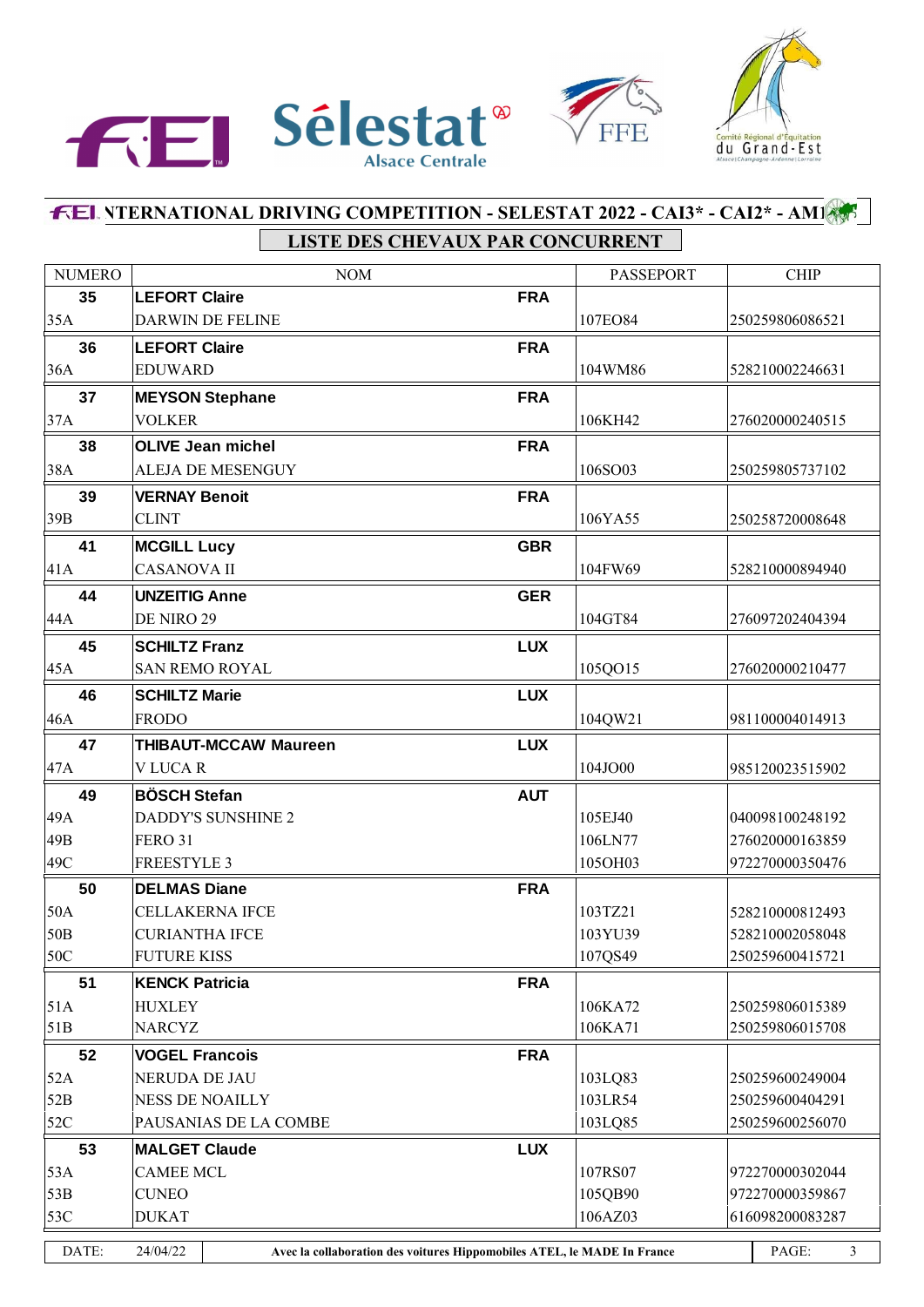



# **INTERNATIONAL DRIVING COMPETITION - SELESTAT 2022 - CAI3\* - CAI2\* - AM1 LISTE DES CHEVAUX PAR CONCURRENT**

| <b>NUMERO</b>   | <b>NOM</b>                                                                          |            | PASSEPORT | <b>CHIP</b>           |
|-----------------|-------------------------------------------------------------------------------------|------------|-----------|-----------------------|
| 35              | <b>LEFORT Claire</b>                                                                | <b>FRA</b> |           |                       |
| 35A             | DARWIN DE FELINE                                                                    |            | 107EO84   | 250259806086521       |
| 36              | <b>LEFORT Claire</b>                                                                | <b>FRA</b> |           |                       |
| 36A             | <b>EDUWARD</b>                                                                      |            | 104WM86   | 528210002246631       |
| 37              | <b>MEYSON Stephane</b>                                                              | <b>FRA</b> |           |                       |
| 37A             | <b>VOLKER</b>                                                                       |            | 106KH42   | 276020000240515       |
| 38              | <b>OLIVE Jean michel</b>                                                            | <b>FRA</b> |           |                       |
| 38A             | ALEJA DE MESENGUY                                                                   |            | 106SO03   | 250259805737102       |
| 39              | <b>VERNAY Benoit</b>                                                                | <b>FRA</b> |           |                       |
| 39B             | <b>CLINT</b>                                                                        |            | 106YA55   | 250258720008648       |
| 41              | <b>MCGILL Lucy</b>                                                                  | <b>GBR</b> |           |                       |
| 41A             | <b>CASANOVA II</b>                                                                  |            | 104FW69   | 528210000894940       |
| 44              | <b>UNZEITIG Anne</b>                                                                | <b>GER</b> |           |                       |
| 44A             | DE NIRO 29                                                                          |            | 104GT84   | 276097202404394       |
| 45              | <b>SCHILTZ Franz</b>                                                                | <b>LUX</b> |           |                       |
| 45A             | <b>SAN REMO ROYAL</b>                                                               |            | 105QO15   | 276020000210477       |
| 46              | <b>SCHILTZ Marie</b>                                                                | <b>LUX</b> |           |                       |
| 46A             | <b>FRODO</b>                                                                        |            | 104QW21   | 981100004014913       |
| 47              | <b>THIBAUT-MCCAW Maureen</b>                                                        | <b>LUX</b> |           |                       |
| 47A             | V LUCAR                                                                             |            | 104JO00   | 985120023515902       |
| 49              | <b>BÖSCH Stefan</b>                                                                 | <b>AUT</b> |           |                       |
| 49A             | <b>DADDY'S SUNSHINE 2</b>                                                           |            | 105EJ40   | 040098100248192       |
| 49B             | <b>FERO 31</b>                                                                      |            | 106LN77   | 276020000163859       |
| 49C             | <b>FREESTYLE 3</b>                                                                  |            | 105OH03   | 972270000350476       |
| 50              | <b>DELMAS Diane</b>                                                                 | <b>FRA</b> |           |                       |
| 50A             | <b>CELLAKERNA IFCE</b>                                                              |            | 103TZ21   | 528210000812493       |
| 50 <sub>B</sub> | <b>CURIANTHA IFCE</b>                                                               |            | 103YU39   | 528210002058048       |
| 50C             | <b>FUTURE KISS</b>                                                                  |            | 107QS49   | 250259600415721       |
| 51              | <b>KENCK Patricia</b>                                                               | <b>FRA</b> |           |                       |
| 51A             | HUXLEY                                                                              |            | 106KA72   | 250259806015389       |
| 51B             | <b>NARCYZ</b>                                                                       |            | 106KA71   | 250259806015708       |
| 52              | <b>VOGEL Francois</b>                                                               | <b>FRA</b> |           |                       |
| 52A             | NERUDA DE JAU                                                                       |            | 103LQ83   | 250259600249004       |
| 52B             | <b>NESS DE NOAILLY</b>                                                              |            | 103LR54   | 250259600404291       |
| 52C             | PAUSANIAS DE LA COMBE                                                               |            | 103LQ85   | 250259600256070       |
| 53              | <b>MALGET Claude</b>                                                                | <b>LUX</b> |           |                       |
| 33A             | <b>CAMEE MCL</b>                                                                    |            | 107RS07   | 972270000302044       |
| 53B             | <b>CUNEO</b>                                                                        |            | 105QB90   | 972270000359867       |
| 53C             | <b>DUKAT</b>                                                                        |            | 106AZ03   | 616098200083287       |
| DATE:           | 24/04/22<br>Avec la collaboration des voitures Hippomobiles ATEL, le MADE In France |            |           | PAGE:<br>$\mathbf{3}$ |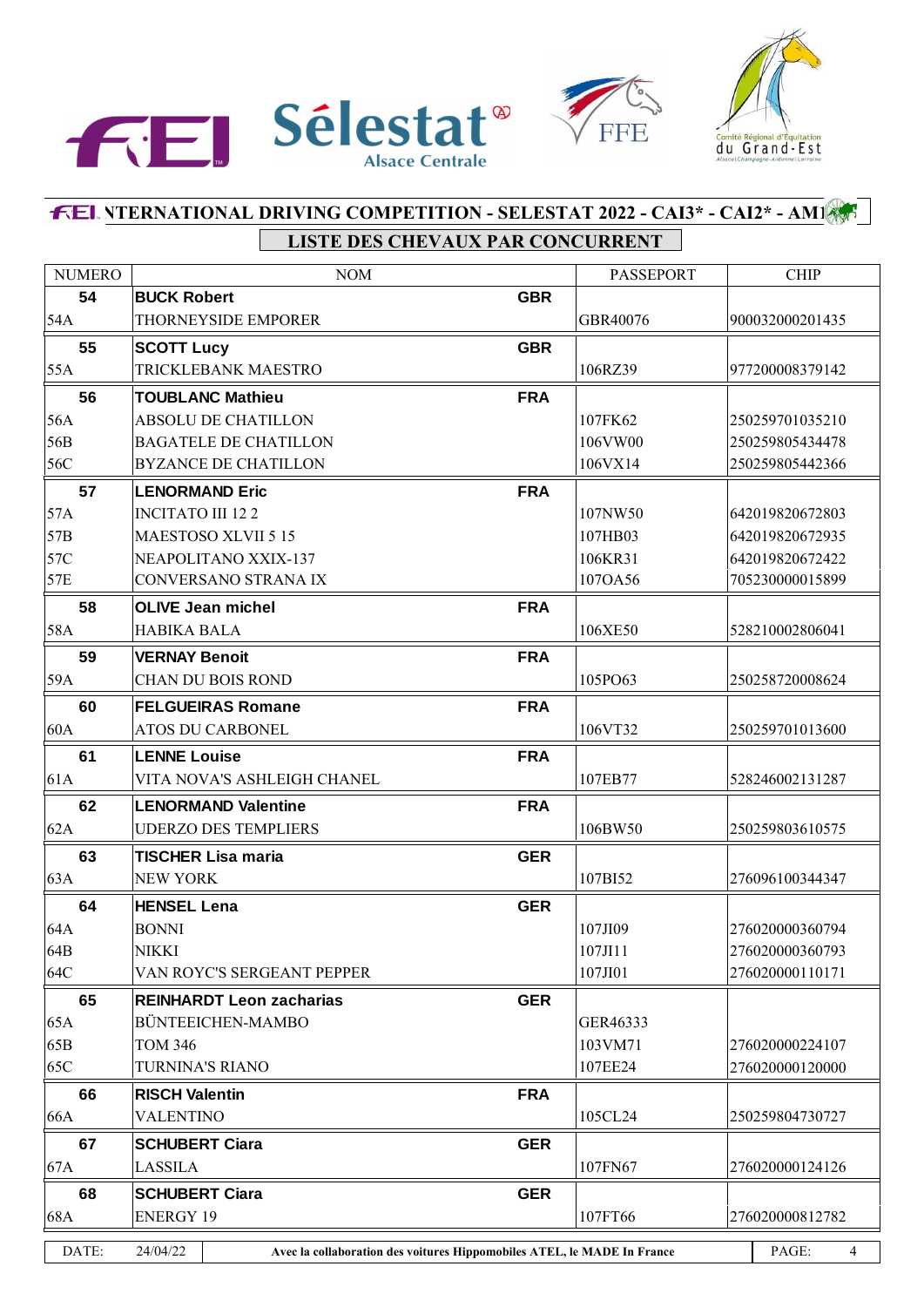



# **FEL NTERNATIONAL DRIVING COMPETITION - SELESTAT 2022 - CAI3\* - CAI2\* - AMI LISTE DES CHEVAUX PAR CONCURRENT**

| <b>NUMERO</b> | <b>NOM</b>                                                                          |            | <b>PASSEPORT</b> | <b>CHIP</b>             |
|---------------|-------------------------------------------------------------------------------------|------------|------------------|-------------------------|
| 54            | <b>BUCK Robert</b>                                                                  | <b>GBR</b> |                  |                         |
| 54A           | <b>THORNEYSIDE EMPORER</b>                                                          |            | GBR40076         | 900032000201435         |
| 55            | <b>SCOTT Lucy</b>                                                                   | <b>GBR</b> |                  |                         |
| 55A           | TRICKLEBANK MAESTRO                                                                 |            | 106RZ39          | 977200008379142         |
| 56            | <b>TOUBLANC Mathieu</b>                                                             | <b>FRA</b> |                  |                         |
| 56A           | <b>ABSOLU DE CHATILLON</b>                                                          |            | 107FK62          | 250259701035210         |
| 56B           | <b>BAGATELE DE CHATILLON</b>                                                        |            | 106VW00          | 250259805434478         |
| 56C           | <b>BYZANCE DE CHATILLON</b>                                                         |            | 106VX14          | 250259805442366         |
| 57            | <b>LENORMAND Eric</b>                                                               | <b>FRA</b> |                  |                         |
| 57A           | <b>INCITATO III 122</b>                                                             |            | 107NW50          | 642019820672803         |
| 57B           | MAESTOSO XLVII 5 15                                                                 |            | 107HB03          | 642019820672935         |
| 57C           | NEAPOLITANO XXIX-137                                                                |            | 106KR31          | 642019820672422         |
| 57E           | CONVERSANO STRANA IX                                                                |            | 107OA56          | 705230000015899         |
| 58            | <b>OLIVE Jean michel</b>                                                            | <b>FRA</b> |                  |                         |
| 58A           | <b>HABIKA BALA</b>                                                                  |            | 106XE50          | 528210002806041         |
| 59            | <b>VERNAY Benoit</b>                                                                | <b>FRA</b> |                  |                         |
| 59A           | <b>CHAN DU BOIS ROND</b>                                                            |            | 105PO63          | 250258720008624         |
| 60            | <b>FELGUEIRAS Romane</b>                                                            | <b>FRA</b> |                  |                         |
| 60A           | ATOS DU CARBONEL                                                                    |            | 106VT32          | 250259701013600         |
| 61            | <b>LENNE Louise</b>                                                                 | <b>FRA</b> |                  |                         |
| 61A           | VITA NOVA'S ASHLEIGH CHANEL                                                         |            | 107EB77          | 528246002131287         |
| 62            | <b>LENORMAND Valentine</b>                                                          | <b>FRA</b> |                  |                         |
| 62A           | <b>UDERZO DES TEMPLIERS</b>                                                         |            | 106BW50          | 250259803610575         |
| 63            | <b>TISCHER Lisa maria</b>                                                           | <b>GER</b> |                  |                         |
| 63A           | <b>NEW YORK</b>                                                                     |            | 107BI52          | 276096100344347         |
| 64            | <b>HENSEL Lena</b>                                                                  | <b>GER</b> |                  |                         |
| 64A           | <b>BONNI</b>                                                                        |            | 107JI09          | 276020000360794         |
| 64B           | NIKKI                                                                               |            | 107JI11          | 276020000360793         |
| 64C           | VAN ROYC'S SERGEANT PEPPER                                                          |            | 107JI01          | 276020000110171         |
| 65            | <b>REINHARDT Leon zacharias</b>                                                     | <b>GER</b> |                  |                         |
| 65A           | BÜNTEEICHEN-MAMBO                                                                   |            | GER46333         |                         |
| 65B           | <b>TOM 346</b>                                                                      |            | 103VM71          | 276020000224107         |
| 65C           | <b>TURNINA'S RIANO</b>                                                              |            | 107EE24          | 276020000120000         |
| 66            | <b>RISCH Valentin</b>                                                               | <b>FRA</b> |                  |                         |
| 66A           | <b>VALENTINO</b>                                                                    |            | 105CL24          | 250259804730727         |
| 67            | <b>SCHUBERT Ciara</b>                                                               | <b>GER</b> |                  |                         |
| 67A           | <b>LASSILA</b>                                                                      |            | 107FN67          | 276020000124126         |
| 68            | <b>SCHUBERT Ciara</b>                                                               | <b>GER</b> |                  |                         |
| 68A           | <b>ENERGY 19</b>                                                                    |            | 107FT66          | 276020000812782         |
| DATE:         | 24/04/22<br>Avec la collaboration des voitures Hippomobiles ATEL, le MADE In France |            |                  | PAGE:<br>$\overline{4}$ |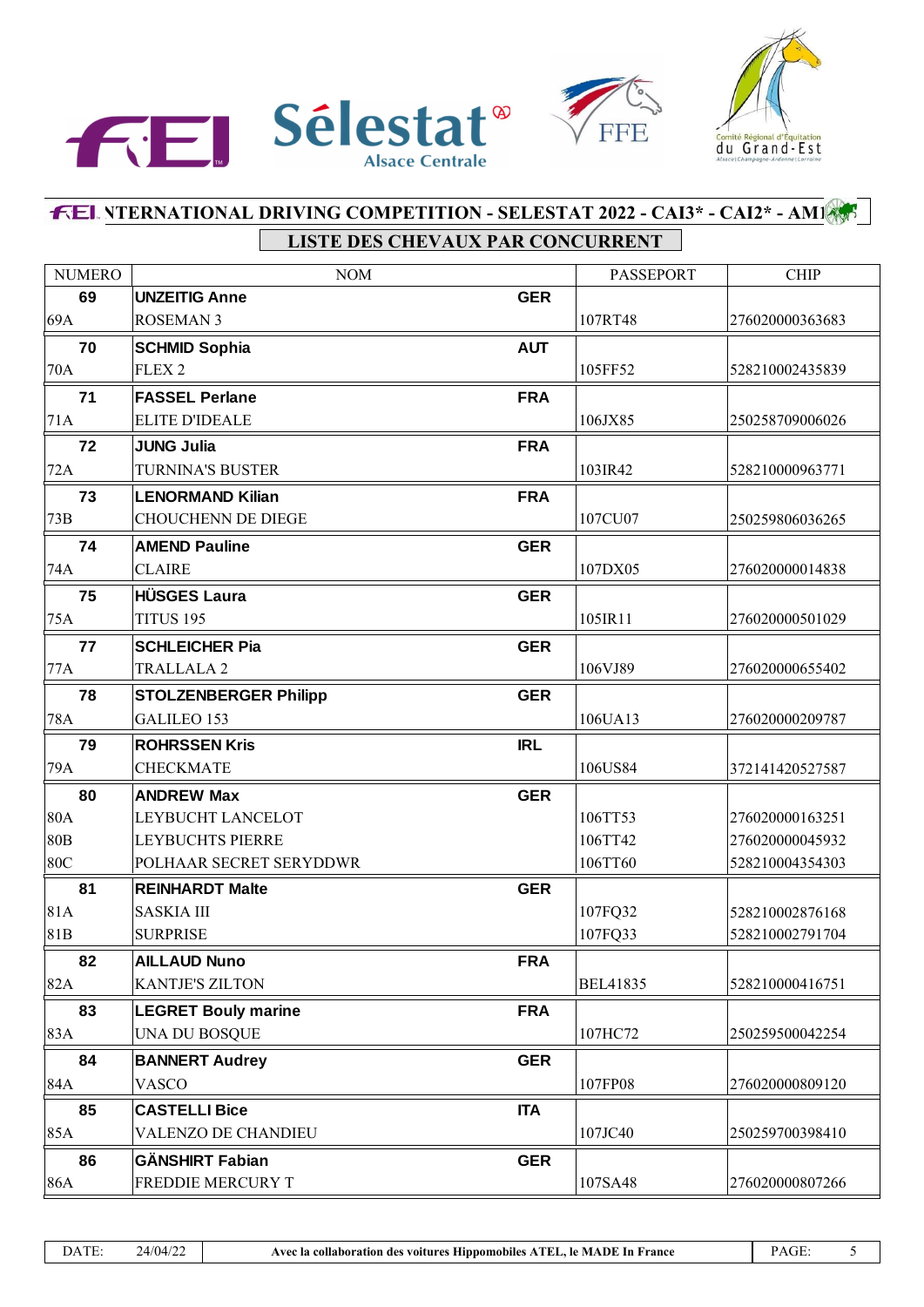



# **FEL NTERNATIONAL DRIVING COMPETITION - SELESTAT 2022 - CAI3\* - CAI2\* - AMI** LISTE DES CHEVAUX PAR CONCURRENT

| <b>NUMERO</b>   | <b>NOM</b>                   |            | <b>PASSEPORT</b> | <b>CHIP</b>     |
|-----------------|------------------------------|------------|------------------|-----------------|
| 69              | <b>UNZEITIG Anne</b>         | <b>GER</b> |                  |                 |
| 69A             | <b>ROSEMAN 3</b>             |            | 107RT48          | 276020000363683 |
| 70              | <b>SCHMID Sophia</b>         | <b>AUT</b> |                  |                 |
| 70A             | FLEX <sub>2</sub>            |            | 105FF52          | 528210002435839 |
| 71              | <b>FASSEL Perlane</b>        | <b>FRA</b> |                  |                 |
| 71A             | <b>ELITE D'IDEALE</b>        |            | 106JX85          | 250258709006026 |
| 72              | <b>JUNG Julia</b>            | <b>FRA</b> |                  |                 |
| 72A             | <b>TURNINA'S BUSTER</b>      |            | 103IR42          | 528210000963771 |
| 73              | <b>LENORMAND Kilian</b>      | <b>FRA</b> |                  |                 |
| 73B             | <b>CHOUCHENN DE DIEGE</b>    |            | 107CU07          | 250259806036265 |
| 74              | <b>AMEND Pauline</b>         | <b>GER</b> |                  |                 |
| 74A             | <b>CLAIRE</b>                |            | 107DX05          | 276020000014838 |
| 75              | <b>HÜSGES Laura</b>          | <b>GER</b> |                  |                 |
| 75A             | TITUS 195                    |            | 105IR11          | 276020000501029 |
| 77              | <b>SCHLEICHER Pia</b>        | <b>GER</b> |                  |                 |
| 77A             | <b>TRALLALA2</b>             |            | 106VJ89          | 276020000655402 |
| 78              | <b>STOLZENBERGER Philipp</b> | <b>GER</b> |                  |                 |
| 78A             | <b>GALILEO 153</b>           |            | 106UA13          | 276020000209787 |
| 79              | <b>ROHRSSEN Kris</b>         | <b>IRL</b> |                  |                 |
| 79A             | <b>CHECKMATE</b>             |            | 106US84          | 372141420527587 |
| 80              | <b>ANDREW Max</b>            | <b>GER</b> |                  |                 |
| <b>80A</b>      | LEYBUCHT LANCELOT            |            | 106TT53          | 276020000163251 |
| 80 <sub>B</sub> | <b>LEYBUCHTS PIERRE</b>      |            | 106TT42          | 276020000045932 |
| 80C             | POLHAAR SECRET SERYDDWR      |            | 106TT60          | 528210004354303 |
| 81              | <b>REINHARDT Malte</b>       | <b>GER</b> |                  |                 |
| 81A             | <b>SASKIA III</b>            |            | 107FQ32          | 528210002876168 |
| 81B             | <b>SURPRISE</b>              |            | 107FQ33          | 528210002791704 |
| 82              | <b>AILLAUD Nuno</b>          | <b>FRA</b> |                  |                 |
| 82A             | <b>KANTJE'S ZILTON</b>       |            | <b>BEL41835</b>  | 528210000416751 |
| 83              | <b>LEGRET Bouly marine</b>   | <b>FRA</b> |                  |                 |
| 83A             | UNA DU BOSQUE                |            | 107HC72          | 250259500042254 |
| 84              | <b>BANNERT Audrey</b>        | <b>GER</b> |                  |                 |
| 84A             | <b>VASCO</b>                 |            | 107FP08          | 276020000809120 |
| 85              | <b>CASTELLI Bice</b>         | <b>ITA</b> |                  |                 |
| 85A             | VALENZO DE CHANDIEU          |            | 107JC40          | 250259700398410 |
| 86              | <b>GÄNSHIRT Fabian</b>       | <b>GER</b> |                  |                 |
| 86A             | FREDDIE MERCURY T            |            | 107SA48          | 276020000807266 |

PAGE:

 $\overline{5}$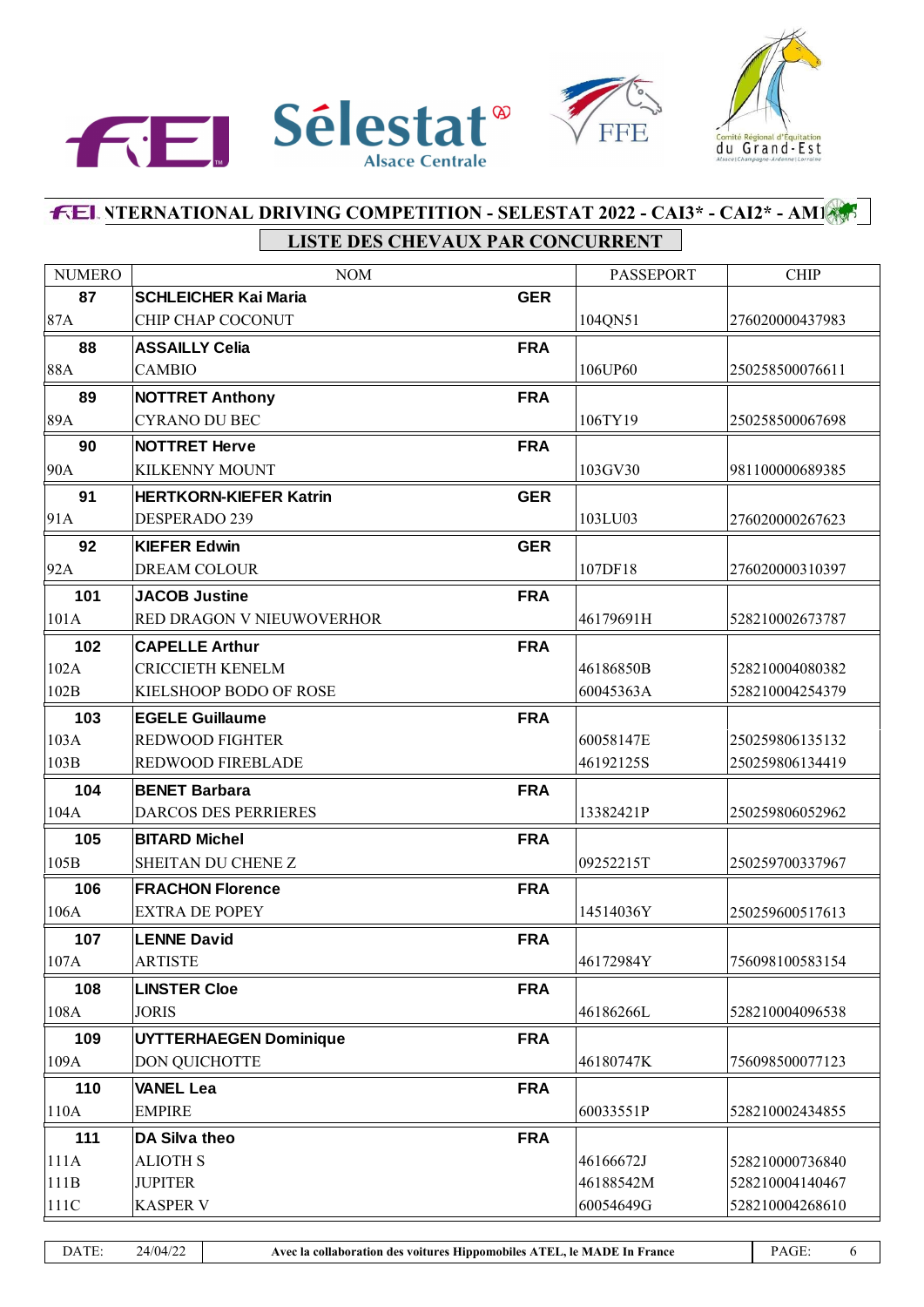



# **INTERNATIONAL DRIVING COMPETITION - SELESTAT 2022 - CAI3\* - CAI2\* - AM1 LISTE DES CHEVAUX PAR CONCURRENT**

| <b>NUMERO</b> | <b>NOM</b>                    |            | <b>PASSEPORT</b> | <b>CHIP</b>     |
|---------------|-------------------------------|------------|------------------|-----------------|
| 87            | <b>SCHLEICHER Kai Maria</b>   | <b>GER</b> |                  |                 |
| 87A           | CHIP CHAP COCONUT             |            | 104QN51          | 276020000437983 |
| 88            | <b>ASSAILLY Celia</b>         | <b>FRA</b> |                  |                 |
| 88A           | <b>CAMBIO</b>                 |            | 106UP60          | 250258500076611 |
| 89            | <b>NOTTRET Anthony</b>        | <b>FRA</b> |                  |                 |
| 89A           | <b>CYRANO DU BEC</b>          |            | 106TY19          | 250258500067698 |
| 90            | <b>NOTTRET Herve</b>          | <b>FRA</b> |                  |                 |
| 90A           | <b>KILKENNY MOUNT</b>         |            | 103GV30          | 981100000689385 |
| 91            | <b>HERTKORN-KIEFER Katrin</b> | <b>GER</b> |                  |                 |
| 91A           | DESPERADO 239                 |            | 103LU03          | 276020000267623 |
| 92            | <b>KIEFER Edwin</b>           | <b>GER</b> |                  |                 |
| 92A           | <b>DREAM COLOUR</b>           |            | 107DF18          | 276020000310397 |
| 101           | <b>JACOB Justine</b>          | <b>FRA</b> |                  |                 |
| 101A          | RED DRAGON V NIEUWOVERHOR     |            | 46179691H        | 528210002673787 |
| 102           | <b>CAPELLE Arthur</b>         | <b>FRA</b> |                  |                 |
| 102A          | <b>CRICCIETH KENELM</b>       |            | 46186850B        | 528210004080382 |
| 102B          | KIELSHOOP BODO OF ROSE        |            | 60045363A        | 528210004254379 |
| 103           | <b>EGELE Guillaume</b>        | <b>FRA</b> |                  |                 |
| 103A          | <b>REDWOOD FIGHTER</b>        |            | 60058147E        | 250259806135132 |
| 103B          | REDWOOD FIREBLADE             |            | 46192125S        | 250259806134419 |
| 104           | <b>BENET Barbara</b>          | <b>FRA</b> |                  |                 |
| 104A          | <b>DARCOS DES PERRIERES</b>   |            | 13382421P        | 250259806052962 |
| 105           | <b>BITARD Michel</b>          | <b>FRA</b> |                  |                 |
| 105B          | SHEITAN DU CHENE Z            |            | 09252215T        | 250259700337967 |
| 106           | <b>FRACHON Florence</b>       | <b>FRA</b> |                  |                 |
| 106A          | <b>EXTRA DE POPEY</b>         |            | 14514036Y        | 250259600517613 |
| 107           | <b>LENNE David</b>            | <b>FRA</b> |                  |                 |
| 107A          | <b>ARTISTE</b>                |            | 46172984Y        | 756098100583154 |
| 108           | <b>LINSTER Cloe</b>           | <b>FRA</b> |                  |                 |
| 108A          | <b>JORIS</b>                  |            | 46186266L        | 528210004096538 |
| 109           | <b>UYTTERHAEGEN Dominique</b> | <b>FRA</b> |                  |                 |
| 109A          | DON QUICHOTTE                 |            | 46180747K        | 756098500077123 |
| 110           | <b>VANEL Lea</b>              | <b>FRA</b> |                  |                 |
| 110A          | <b>EMPIRE</b>                 |            | 60033551P        | 528210002434855 |
| 111           | DA Silva theo                 | <b>FRA</b> |                  |                 |
| 111A          | <b>ALIOTH S</b>               |            | 46166672J        | 528210000736840 |
| 111B          | <b>JUPITER</b>                |            | 46188542M        | 528210004140467 |
| 111C          | <b>KASPER V</b>               |            | 60054649G        | 528210004268610 |
|               |                               |            |                  |                 |

DATE: 24/04/22 **Avec la collaboration des voitures Hippomobiles ATEL, le MADE In France** PAGE: 6